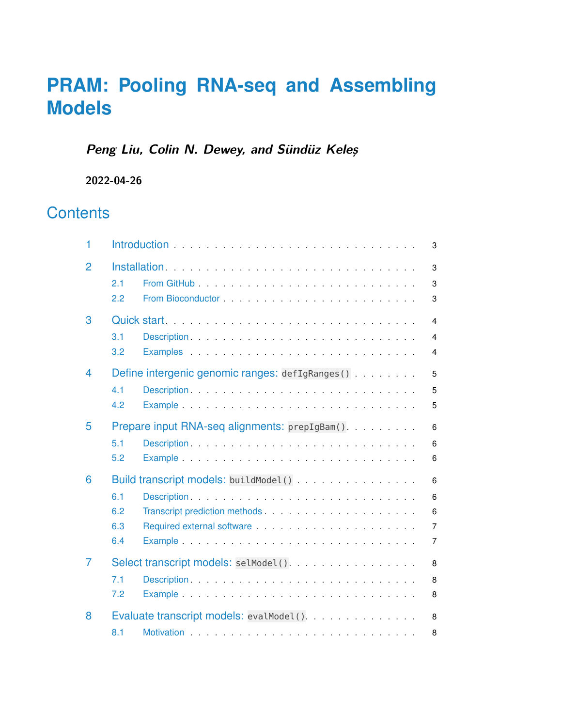# **PRAM: Pooling RNA-seq and Assembling Models**

## **Peng Liu, Colin N. Dewey, and Sündüz Keleş**

**2022-04-26**

## **Contents**

| 1              | 3                                                                                                                                                                                                                                                                                                                                                                                                                                                                                                                                                                                      |
|----------------|----------------------------------------------------------------------------------------------------------------------------------------------------------------------------------------------------------------------------------------------------------------------------------------------------------------------------------------------------------------------------------------------------------------------------------------------------------------------------------------------------------------------------------------------------------------------------------------|
| $\overline{2}$ | 3<br>From GitHub Promotion And Promotion Contract and Andrew Contract and Andrew Contract and Andrew Contract and A<br>2.1<br>3<br>2.2<br>3                                                                                                                                                                                                                                                                                                                                                                                                                                            |
| 3              | Quick start.<br>$\overline{4}$<br>3.1<br>$\overline{4}$<br>3.2<br>4                                                                                                                                                                                                                                                                                                                                                                                                                                                                                                                    |
| 4              | Define intergenic genomic ranges: defIgRanges()<br>5<br>Description entertainment and the contract of the contract of the contract of the contract of the contract of<br>4.1<br>5<br>4.2<br>5                                                                                                                                                                                                                                                                                                                                                                                          |
| 5              | Prepare input RNA-seq alignments: prepIgBam()<br>6<br>5.1<br>Description entertainment and the contract of the contract of the contract of the contract of the contract of<br>6<br>5.2<br>6                                                                                                                                                                                                                                                                                                                                                                                            |
| 6              | Build transcript models: buildModel()<br>6<br>6.1<br>6<br>6.2<br>Transcript prediction methods expansion of the state of the state of the state of the state of the state of the state of the state of the state of the state of the state of the state of the state of the state of the state<br>6<br>Required external software extension of the state of the state of the state of the state of the state of the state of the state of the state of the state of the state of the state of the state of the state of the state of<br>6.3<br>$\overline{7}$<br>6.4<br>$\overline{7}$ |
| 7              | Select transcript models: selModel()<br>8<br>7.1<br>8<br>7.2<br>8                                                                                                                                                                                                                                                                                                                                                                                                                                                                                                                      |
| 8              | Evaluate transcript models: evalModel().<br>8<br>8.1<br>8                                                                                                                                                                                                                                                                                                                                                                                                                                                                                                                              |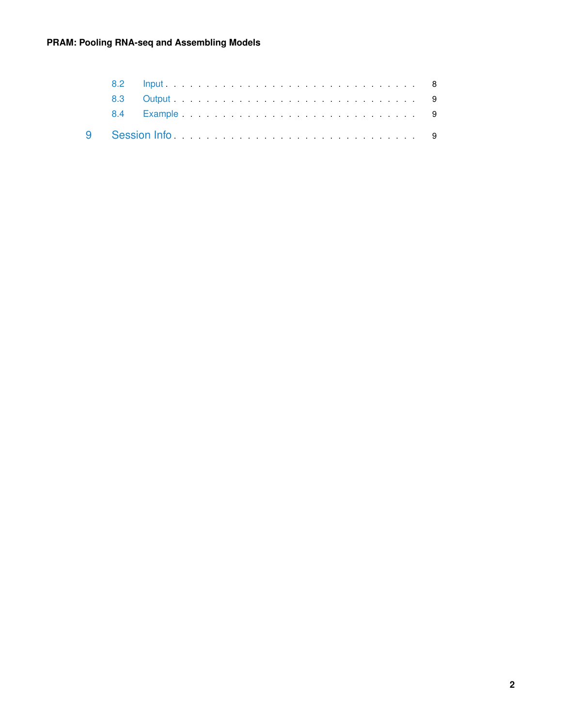#### **PRAM: Pooling RNA-seq and Assembling Models**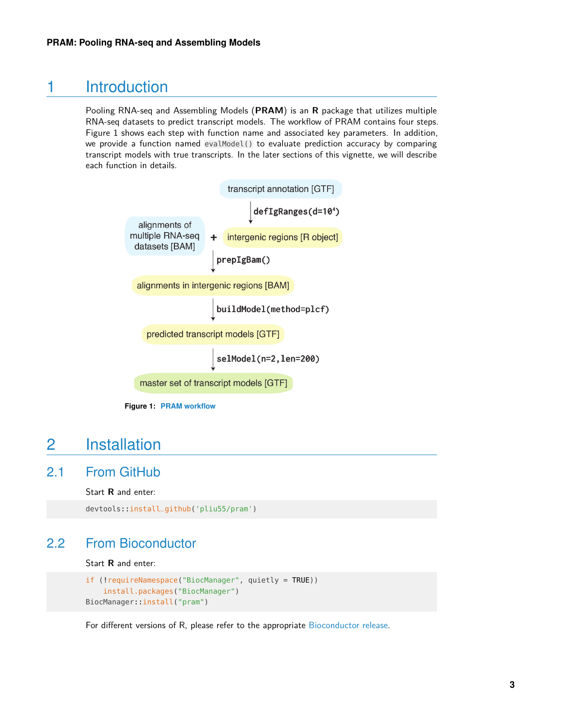### 1 Introduction

<span id="page-2-0"></span>Pooling RNA-seq and Assembling Models (**PRAM**) is an **R** package that utilizes multiple RNA-seq datasets to predict transcript models. The workflow of PRAM contains four steps. Figure 1 shows each step with function name and associated key parameters. In addition, we provide a function named evalModel() to evaluate prediction accuracy by comparing transcript models with true transcripts. In the later sections of this vignette, we will describe each function in details.



buildModel(method=plcf)

predicted transcript models [GTF]

 $\vert$  selModel(n=2, len=200)

master set of transcript models [GTF]

<span id="page-2-1"></span>

## 2 Installation

### 2.1 From GitHub

<span id="page-2-2"></span>Start **R** and enter:

```
devtools::install_github('pliu55/pram')
```
### 2.2 From Bioconductor

Start **R** and enter:

```
if (!requireNamespace("BiocManager", quietly = TRUE))
    install.packages("BiocManager")
BiocManager::install("pram")
```
<span id="page-2-4"></span>For different versions of R, please refer to the appropriate [Bioconductor release.](https://bioconductor.org/about/release-announcements/)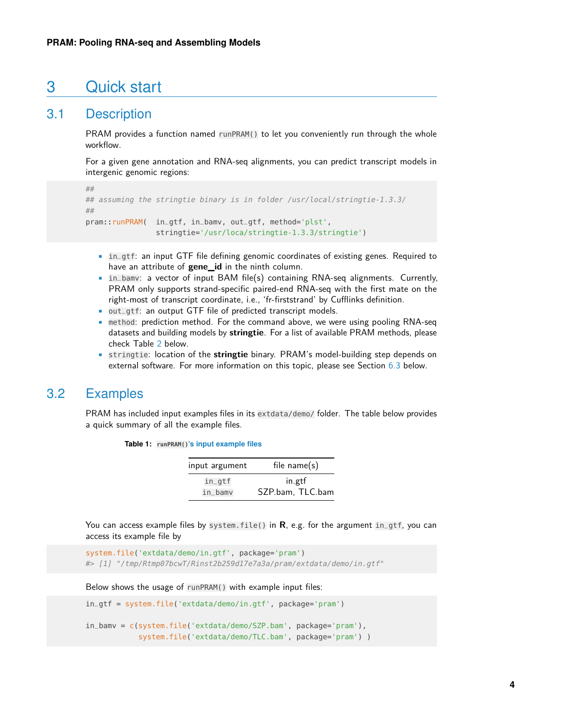### 3 Quick start

### 3.1 Description

<span id="page-3-0"></span>PRAM provides a function named runPRAM() to let you conveniently run through the whole workflow.

For a given gene annotation and RNA-seq alignments, you can predict transcript models in intergenic genomic regions:

```
##
## assuming the stringtie binary is in folder /usr/local/stringtie-1.3.3/
##
pram::runPRAM( in_gtf, in_bamv, out_gtf, method='plst',
                stringtie='/usr/loca/stringtie-1.3.3/stringtie')
```
- in\_gtf: an input GTF file defining genomic coordinates of existing genes. Required to have an attribute of **gene\_id** in the ninth column.
- in\_bamv: a vector of input BAM file(s) containing RNA-seq alignments. Currently, PRAM only supports strand-specific paired-end RNA-seq with the first mate on the right-most of transcript coordinate, i.e., 'fr-firststrand' by Cufflinks definition.
- out\_gtf: an output GTF file of predicted transcript models.
- method: prediction method. For the command above, we were using pooling RNA-seq datasets and building models by **stringtie**. For a list of available PRAM methods, please check Table [2](#page-6-3) below.
- <span id="page-3-1"></span>• stringtie: location of the **stringtie** binary. PRAM's model-building step depends on external software. For more information on this topic, please see Section [6.3](#page-6-0) below.

### 3.2 Examples

PRAM has included input examples files in its extdata/demo/ folder. The table below provides a quick summary of all the example files.

**Table 1: runPRAM()'s input example files**

| input argument | file $name(s)$   |
|----------------|------------------|
| $in_q$ tf      | in.gtf           |
| in_bamv        | SZP.bam, TLC.bam |

You can access example files by system.file() in **R**, e.g. for the argument in\_gtf, you can access its example file by

```
system.file('extdata/demo/in.gtf', package='pram')
#> [1] "/tmp/Rtmp07bcwT/Rinst2b259d17e7a3a/pram/extdata/demo/in.gtf"
```
Below shows the usage of runPRAM() with example input files:

```
in_gtf = system.file('extdata/demo/in.gtf', package='pram')
in_bamv = c(system.file('extdata/demo/SZP.bam', package='pram'),
            system.file('extdata/demo/TLC.bam', package='pram') )
```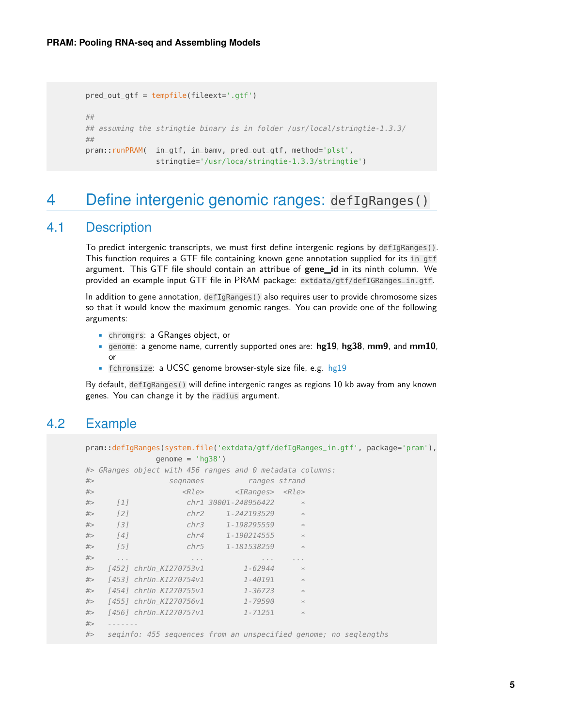```
pred_out_gtf = tempfile(fileext='.gtf')
##
## assuming the stringtie binary is in folder /usr/local/stringtie-1.3.3/
##
pram::runPRAM( in_gtf, in_bamv, pred_out_gtf, method='plst',
                stringtie='/usr/loca/stringtie-1.3.3/stringtie')
```
## <span id="page-4-0"></span>4 Define intergenic genomic ranges: defIgRanges()

#### 4.1 Description

<span id="page-4-1"></span>To predict intergenic transcripts, we must first define intergenic regions by defIgRanges(). This function requires a GTF file containing known gene annotation supplied for its in\_gtf argument. This GTF file should contain an attribue of **gene\_id** in its ninth column. We provided an example input GTF file in PRAM package: extdata/gtf/defIGRanges\_in.gtf.

In addition to gene annotation, defIgRanges() also requires user to provide chromosome sizes so that it would know the maximum genomic ranges. You can provide one of the following arguments:

- chromgrs: a GRanges object, or
- genome: a genome name, currently supported ones are: **hg19**, **hg38**, **mm9**, and **mm10**, or
- fchromsize: a UCSC genome browser-style size file, e.g. [hg19](http://hgdownload.cse.ucsc.edu/goldenpath/hg19/database/chromInfo.txt.gz)

<span id="page-4-2"></span>By default, defIgRanges() will define intergenic ranges as regions 10 kb away from any known genes. You can change it by the radius argument.

### 4.2 Example

```
pram::defIgRanges(system.file('extdata/gtf/defIgRanges_in.gtf', package='pram'),
            qenome = 'hq38')#> GRanges object with 456 ranges and 0 metadata columns:
#> seqnames ranges strand
#> <Rle> <IRanges> <Rle>
#> [1] chr1 30001-248956422 *
#> [2] chr2 1-242193529
#> [3] chr3 1-198295559 *
#> [4] chr4 1-190214555<br>#> [5] chr5 1-181538259
#> [5] chr5 1-181538259
#> ... ... ... ...
#> [452] chrUn_KI270753v1 1-62944
#> [453] chrUn_KI270754v1 1-40191
#> [454] chrUn_KI270755v1 1-36723 *
#> [455] chrUn_KI270756v1 1-79590
#> [456] chrUn_KI270757v1 1-71251 *
#> -------
#> seqinfo: 455 sequences from an unspecified genome; no seqlengths
```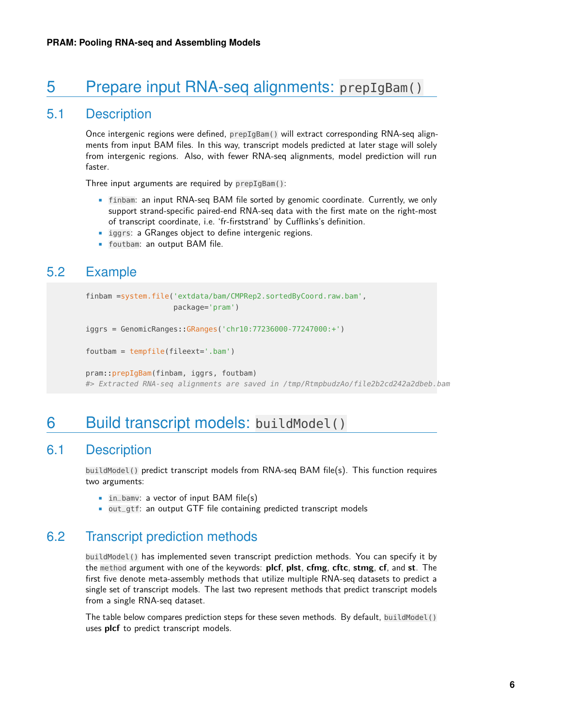## 5 Prepare input RNA-seq alignments: prepIgBam()

### 5.1 Description

<span id="page-5-0"></span>Once intergenic regions were defined, prepIgBam() will extract corresponding RNA-seq alignments from input BAM files. In this way, transcript models predicted at later stage will solely from intergenic regions. Also, with fewer RNA-seq alignments, model prediction will run faster.

Three input arguments are required by prepIgBam():

- finbam: an input RNA-seq BAM file sorted by genomic coordinate. Currently, we only support strand-specific paired-end RNA-seq data with the first mate on the right-most of transcript coordinate, i.e. 'fr-firststrand' by Cufflinks's definition.
- iggrs: a GRanges object to define intergenic regions.
- <span id="page-5-1"></span>• foutbam: an output BAM file.

### 5.2 Example

```
finbam =system.file('extdata/bam/CMPRep2.sortedByCoord.raw.bam',
                    package='pram')
```

```
iggrs = GenomicRanges::GRanges('chr10:77236000-77247000:+')
```

```
foutbam = tempfile(fileext='.bam')
```
<span id="page-5-2"></span>pram::prepIgBam(finbam, iggrs, foutbam) #> Extracted RNA-seq alignments are saved in /tmp/RtmpbudzAo/file2b2cd242a2dbeb.bam

### 6 Build transcript models: buildModel()

### 6.1 Description

<span id="page-5-3"></span>buildModel() predict transcript models from RNA-seq BAM file(s). This function requires two arguments:

- in bamv: a vector of input BAM file(s)
- <span id="page-5-4"></span>• out\_gtf: an output GTF file containing predicted transcript models

### 6.2 Transcript prediction methods

buildModel() has implemented seven transcript prediction methods. You can specify it by the method argument with one of the keywords: **plcf**, **plst**, **cfmg**, **cftc**, **stmg**, **cf**, and **st**. The first five denote meta-assembly methods that utilize multiple RNA-seq datasets to predict a single set of transcript models. The last two represent methods that predict transcript models from a single RNA-seq dataset.

The table below compares prediction steps for these seven methods. By default, buildModel() uses **plcf** to predict transcript models.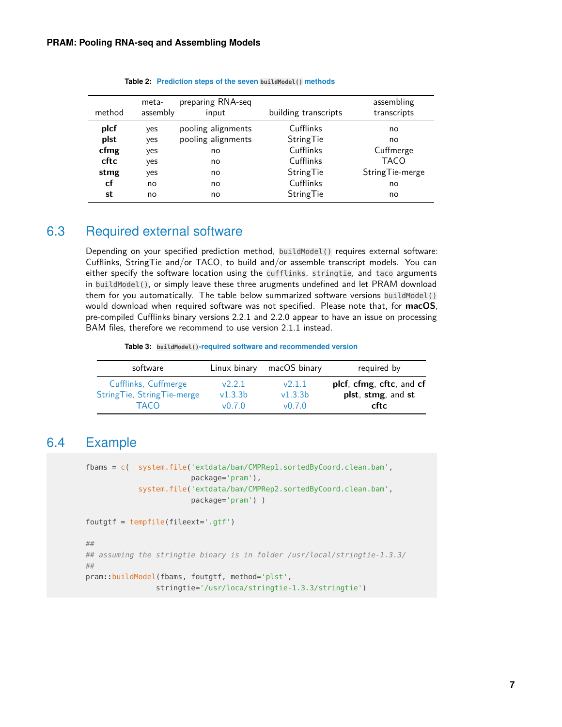<span id="page-6-3"></span>

|        | meta-    | preparing RNA-seq  |                      | assembling       |
|--------|----------|--------------------|----------------------|------------------|
| method | assembly | input              | building transcripts | transcripts      |
| plcf   | yes      | pooling alignments | Cufflinks            | no               |
| plst   | ves      | pooling alignments | StringTie            | no               |
| cfmg   | yes      | no                 | Cufflinks            | Cuffmerge        |
| cftc   | yes      | no                 | Cufflinks            | <b>TACO</b>      |
| stmg   | yes      | no                 | StringTie            | String Tie-merge |
| cf     | no       | no                 | Cufflinks            | no               |
| st     | no       | no                 | StringTie            | no               |

**Table 2: Prediction steps of the seven buildModel() methods**

### 6.3 Required external software

<span id="page-6-0"></span>Depending on your specified prediction method, buildModel() requires external software: Cufflinks, StringTie and/or TACO, to build and/or assemble transcript models. You can either specify the software location using the cufflinks, stringtie, and taco arguments in buildModel(), or simply leave these three arugments undefined and let PRAM download them for you automatically. The table below summarized software versions buildModel() would download when required software was not specified. Please note that, for **macOS**, pre-compiled Cufflinks binary versions 2.2.1 and 2.2.0 appear to have an issue on processing BAM files, therefore we recommend to use version 2.1.1 instead.

**Table 3: buildModel()-required software and recommended version**

| software                   | Linux binary | macOS binary | required by              |
|----------------------------|--------------|--------------|--------------------------|
| Cufflinks, Cuffmerge       | v2.2.1       | v2.1.1       | plcf, cfmg, cftc, and cf |
| StringTie, StringTie-merge | v1.3.3b      | v1.3.3b      | plst, stmg, and st       |
| <b>TACO</b>                | v0.7.0       | v0.7.0       | cftc                     |

### 6.4 Example

```
fbams = c( system.file('extdata/bam/CMPRep1.sortedByCoord.clean.bam',
                        package='pram'),
            system.file('extdata/bam/CMPRep2.sortedByCoord.clean.bam',
                        package='pram') )
```

```
foutgtf = tempfile(fileext='.gtf')
```

```
##
## assuming the stringtie binary is in folder /usr/local/stringtie-1.3.3/
##
pram::buildModel(fbams, foutgtf, method='plst',
                stringtie='/usr/loca/stringtie-1.3.3/stringtie')
```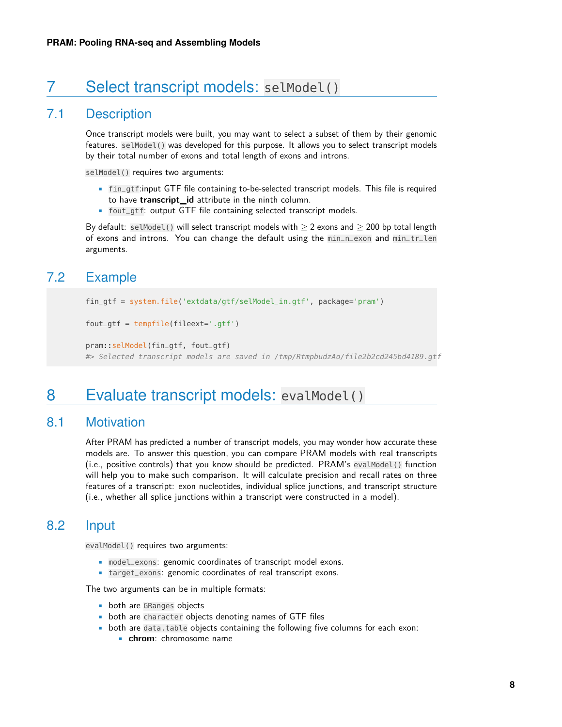## 7 Select transcript models: selModel()

### 7.1 Description

<span id="page-7-0"></span>Once transcript models were built, you may want to select a subset of them by their genomic features. selModel() was developed for this purpose. It allows you to select transcript models by their total number of exons and total length of exons and introns.

selModel() requires two arguments:

- fin\_gtf:input GTF file containing to-be-selected transcript models. This file is required to have **transcript\_id** attribute in the ninth column.
- fout\_gtf: output GTF file containing selected transcript models.

<span id="page-7-1"></span>By default: selModel() will select transcript models with  $\geq 2$  exons and  $\geq 200$  bp total length of exons and introns. You can change the default using the min\_n\_exon and min\_tr\_len arguments.

### 7.2 Example

```
fin_gtf = system.file('extdata/gtf/selModel_in.gtf', package='pram')
```

```
fout_gtf = tempfile(fileext='.gtf')
```

```
pram::selModel(fin_gtf, fout_gtf)
#> Selected transcript models are saved in /tmp/RtmpbudzAo/file2b2cd245bd4189.gtf
```
### 8 Evaluate transcript models: evalModel()

### 8.1 Motivation

<span id="page-7-3"></span>After PRAM has predicted a number of transcript models, you may wonder how accurate these models are. To answer this question, you can compare PRAM models with real transcripts (i.e., positive controls) that you know should be predicted. PRAM's evalModel() function will help you to make such comparison. It will calculate precision and recall rates on three features of a transcript: exon nucleotides, individual splice junctions, and transcript structure (i.e., whether all splice junctions within a transcript were constructed in a model).

### 8.2 Input

<span id="page-7-4"></span>evalModel() requires two arguments:

- model\_exons: genomic coordinates of transcript model exons.
- target\_exons: genomic coordinates of real transcript exons.

The two arguments can be in multiple formats:

- both are GRanges objects
- both are character objects denoting names of GTF files
- both are data.table objects containing the following five columns for each exon:
	- **chrom**: chromosome name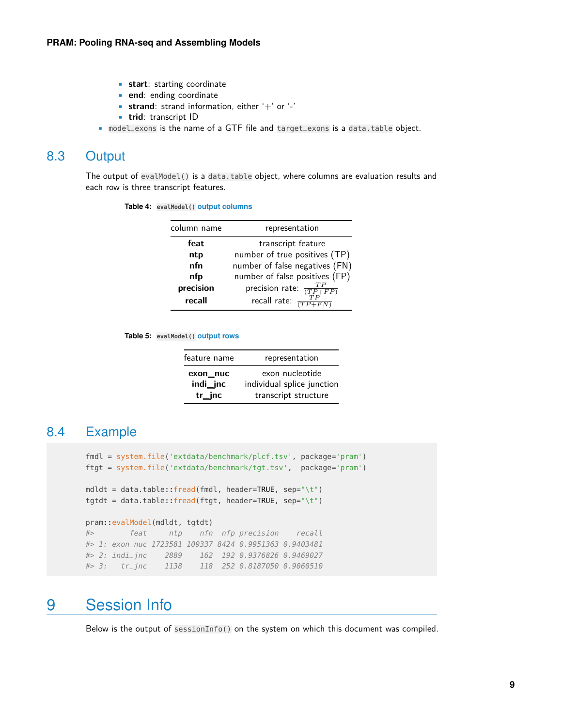- **start**: starting coordinate
- **end**: ending coordinate
- **strand**: strand information, either '+' or '-'
- **trid**: transcript ID
- <span id="page-8-0"></span>• model\_exons is the name of a GTF file and target\_exons is a data.table object.

#### 8.3 Output

The output of evalModel() is a data.table object, where columns are evaluation results and each row is three transcript features.

|  | Table 4: evalModel() output columns |  |  |
|--|-------------------------------------|--|--|
|--|-------------------------------------|--|--|

| column name | representation                       |
|-------------|--------------------------------------|
| feat        | transcript feature                   |
| ntp         | number of true positives (TP)        |
| nfn         | number of false negatives (FN)       |
| nfp         | number of false positives (FP)       |
| precision   | precision rate: $\frac{TP}{(TP+FP)}$ |
| recall      | recall rate: $\frac{TP}{TP+FN}$      |

**Table 5: evalModel() output rows**

| feature name         | representation                                |
|----------------------|-----------------------------------------------|
| exon_nuc<br>indi_jnc | exon nucleotide<br>individual splice junction |
| tr inc               | transcript structure                          |

### 8.4 Example

```
fmdl = system.file('extdata/benchmark/plcf.tsv', package='pram')
ftgt = system.file('extdata/benchmark/tgt.tsv', package='pram')
mdldt = data.table::fred(fmdl, header=TRUE, sep='\\t")tgtdt = data.table::fread(ftgt, header=TRUE, sep="\t")
pram::evalModel(mdldt, tgtdt)
#> feat ntp nfn nfp precision recall
#> 1: exon_nuc 1723581 109337 8424 0.9951363 0.9403481
#> 2: indi_jnc 2889 162 192 0.9376826 0.9469027
#> 3: tr_jnc 1138 118 252 0.8187050 0.9060510
```
## <span id="page-8-2"></span>9 Session Info

Below is the output of sessionInfo() on the system on which this document was compiled.